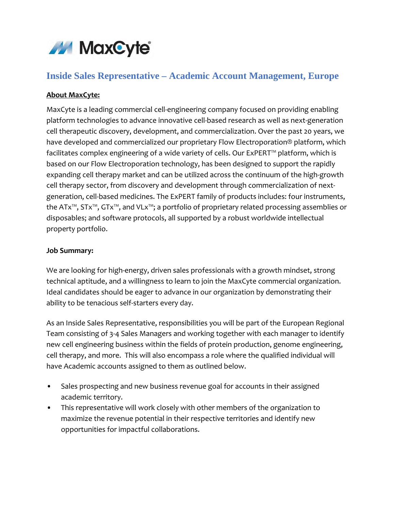

# **Inside Sales Representative – Academic Account Management, Europe**

#### **About MaxCyte:**

MaxCyte is a leading commercial cell-engineering company focused on providing enabling platform technologies to advance innovative cell-based research as well as next-generation cell therapeutic discovery, development, and commercialization. Over the past 20 years, we have developed and commercialized our proprietary Flow Electroporation® platform, which facilitates complex engineering of a wide variety of cells. Our ExPERT™ platform, which is based on our Flow Electroporation technology, has been designed to support the rapidly expanding cell therapy market and can be utilized across the continuum of the high-growth cell therapy sector, from discovery and development through commercialization of nextgeneration, cell-based medicines. The ExPERT family of products includes: four instruments, the ATx™, STx™, GTx™, and VLx™; a portfolio of proprietary related processing assemblies or disposables; and software protocols, all supported by a robust worldwide intellectual property portfolio.

#### **Job Summary:**

We are looking for high-energy, driven sales professionals with a growth mindset, strong technical aptitude, and a willingness to learn to join the MaxCyte commercial organization. Ideal candidates should be eager to advance in our organization by demonstrating their ability to be tenacious self-starters every day.

As an Inside Sales Representative, responsibilities you will be part of the European Regional Team consisting of 3-4 Sales Managers and working together with each manager to identify new cell engineering business within the fields of protein production, genome engineering, cell therapy, and more. This will also encompass a role where the qualified individual will have Academic accounts assigned to them as outlined below.

- Sales prospecting and new business revenue goal for accounts in their assigned academic territory.
- This representative will work closely with other members of the organization to maximize the revenue potential in their respective territories and identify new opportunities for impactful collaborations.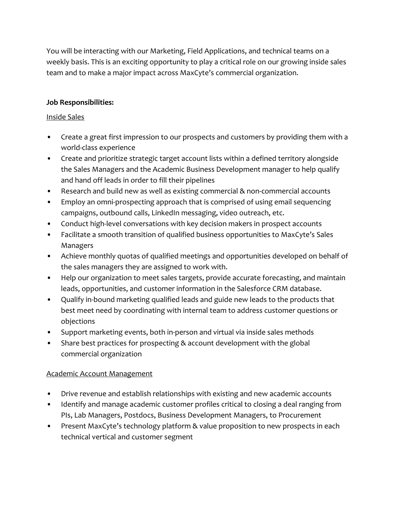You will be interacting with our Marketing, Field Applications, and technical teams on a weekly basis. This is an exciting opportunity to play a critical role on our growing inside sales team and to make a major impact across MaxCyte's commercial organization.

#### **Job Responsibilities:**

#### Inside Sales

- Create a great first impression to our prospects and customers by providing them with a world-class experience
- Create and prioritize strategic target account lists within a defined territory alongside the Sales Managers and the Academic Business Development manager to help qualify and hand off leads in order to fill their pipelines
- Research and build new as well as existing commercial & non-commercial accounts
- Employ an omni-prospecting approach that is comprised of using email sequencing campaigns, outbound calls, LinkedIn messaging, video outreach, etc.
- Conduct high-level conversations with key decision makers in prospect accounts
- Facilitate a smooth transition of qualified business opportunities to MaxCyte's Sales Managers
- Achieve monthly quotas of qualified meetings and opportunities developed on behalf of the sales managers they are assigned to work with.
- Help our organization to meet sales targets, provide accurate forecasting, and maintain leads, opportunities, and customer information in the Salesforce CRM database.
- Qualify in-bound marketing qualified leads and guide new leads to the products that best meet need by coordinating with internal team to address customer questions or objections
- Support marketing events, both in-person and virtual via inside sales methods
- Share best practices for prospecting & account development with the global commercial organization

### Academic Account Management

- Drive revenue and establish relationships with existing and new academic accounts
- Identify and manage academic customer profiles critical to closing a deal ranging from PIs, Lab Managers, Postdocs, Business Development Managers, to Procurement
- Present MaxCyte's technology platform & value proposition to new prospects in each technical vertical and customer segment